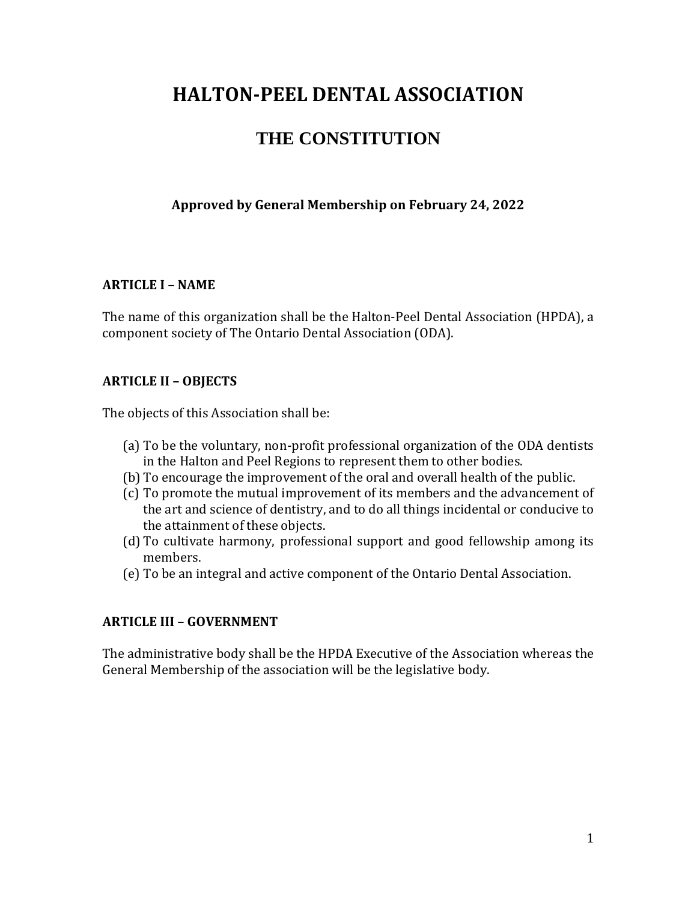# **HALTON-PEEL DENTAL ASSOCIATION**

## **THE CONSTITUTION**

## **Approved by General Membership on February 24, 2022**

#### **ARTICLE I – NAME**

The name of this organization shall be the Halton-Peel Dental Association (HPDA), a component society of The Ontario Dental Association (ODA).

#### **ARTICLE II – OBJECTS**

The objects of this Association shall be:

- (a) To be the voluntary, non-profit professional organization of the ODA dentists in the Halton and Peel Regions to represent them to other bodies.
- (b) To encourage the improvement of the oral and overall health of the public.
- (c) To promote the mutual improvement of its members and the advancement of the art and science of dentistry, and to do all things incidental or conducive to the attainment of these objects.
- (d) To cultivate harmony, professional support and good fellowship among its members.
- (e) To be an integral and active component of the Ontario Dental Association.

#### **ARTICLE III – GOVERNMENT**

The administrative body shall be the HPDA Executive of the Association whereas the General Membership of the association will be the legislative body.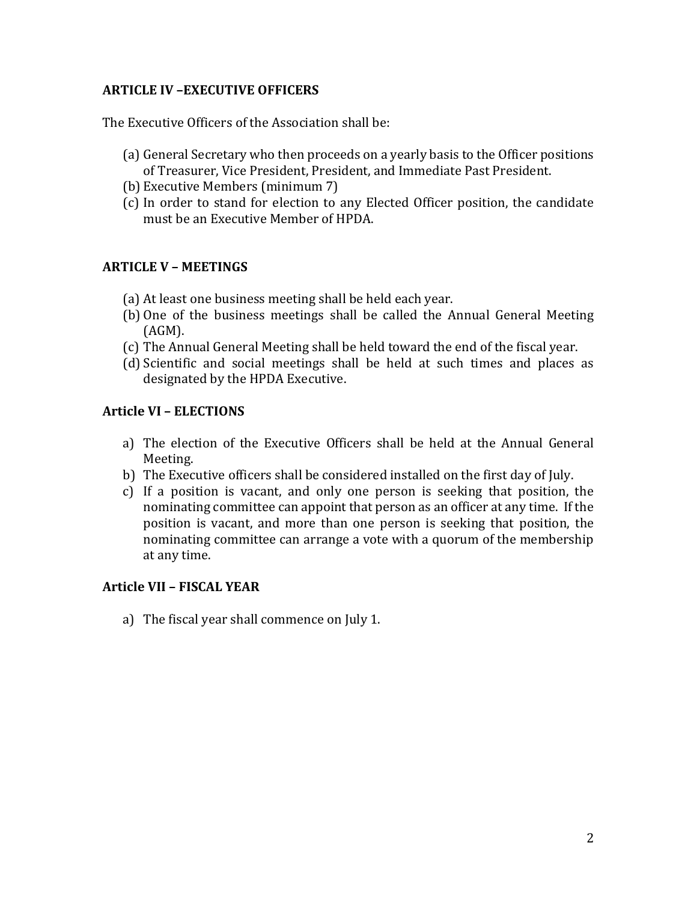## **ARTICLE IV –EXECUTIVE OFFICERS**

The Executive Officers of the Association shall be:

- (a) General Secretary who then proceeds on a yearly basis to the Officer positions of Treasurer, Vice President, President, and Immediate Past President.
- (b) Executive Members (minimum 7)
- (c) In order to stand for election to any Elected Officer position, the candidate must be an Executive Member of HPDA.

#### **ARTICLE V – MEETINGS**

- (a) At least one business meeting shall be held each year.
- (b) One of the business meetings shall be called the Annual General Meeting (AGM).
- (c) The Annual General Meeting shall be held toward the end of the fiscal year.
- (d) Scientific and social meetings shall be held at such times and places as designated by the HPDA Executive.

#### **Article VI – ELECTIONS**

- a) The election of the Executive Officers shall be held at the Annual General Meeting.
- b) The Executive officers shall be considered installed on the first day of July.
- c) If a position is vacant, and only one person is seeking that position, the nominating committee can appoint that person as an officer at any time. If the position is vacant, and more than one person is seeking that position, the nominating committee can arrange a vote with a quorum of the membership at any time.

#### **Article VII – FISCAL YEAR**

a) The fiscal year shall commence on July 1.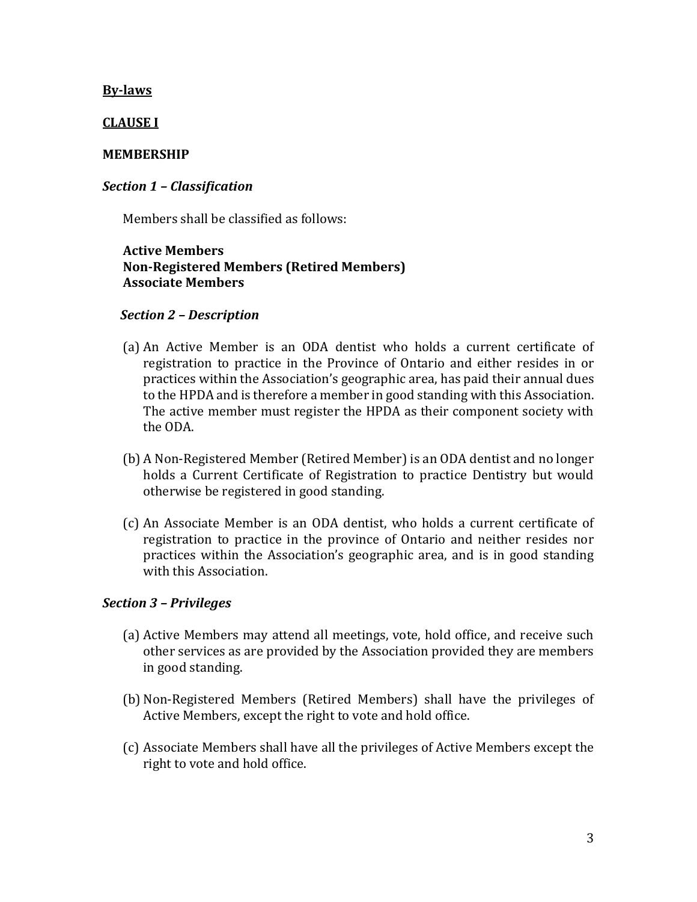#### **By-laws**

#### **CLAUSE I**

#### **MEMBERSHIP**

#### *Section 1 – Classification*

Members shall be classified as follows:

#### **Active Members Non-Registered Members (Retired Members) Associate Members**

#### *Section 2 – Description*

- (a) An Active Member is an ODA dentist who holds a current certificate of registration to practice in the Province of Ontario and either resides in or practices within the Association's geographic area, has paid their annual dues to the HPDA and is therefore a member in good standing with this Association. The active member must register the HPDA as their component society with the ODA.
- (b) A Non-Registered Member (Retired Member) is an ODA dentist and no longer holds a Current Certificate of Registration to practice Dentistry but would otherwise be registered in good standing.
- (c) An Associate Member is an ODA dentist, who holds a current certificate of registration to practice in the province of Ontario and neither resides nor practices within the Association's geographic area, and is in good standing with this Association.

#### *Section 3 – Privileges*

- (a) Active Members may attend all meetings, vote, hold office, and receive such other services as are provided by the Association provided they are members in good standing.
- (b) Non-Registered Members (Retired Members) shall have the privileges of Active Members, except the right to vote and hold office.
- (c) Associate Members shall have all the privileges of Active Members except the right to vote and hold office.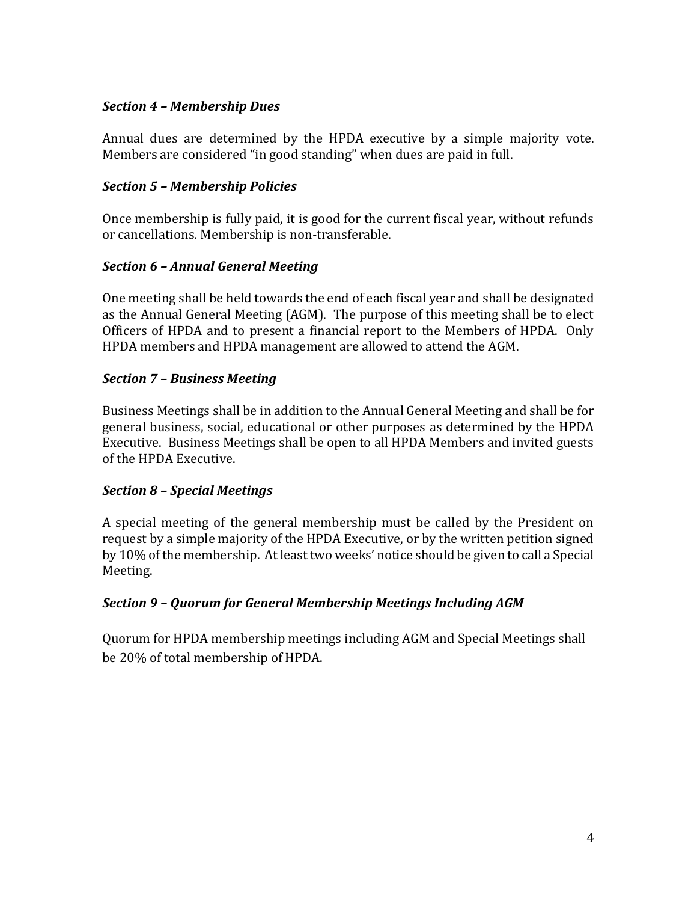## *Section 4 – Membership Dues*

Annual dues are determined by the HPDA executive by a simple majority vote. Members are considered "in good standing" when dues are paid in full.

## *Section 5 – Membership Policies*

Once membership is fully paid, it is good for the current fiscal year, without refunds or cancellations. Membership is non-transferable.

## *Section 6 – Annual General Meeting*

One meeting shall be held towards the end of each fiscal year and shall be designated as the Annual General Meeting (AGM). The purpose of this meeting shall be to elect Officers of HPDA and to present a financial report to the Members of HPDA. Only HPDA members and HPDA management are allowed to attend the AGM.

## *Section 7 – Business Meeting*

Business Meetings shall be in addition to the Annual General Meeting and shall be for general business, social, educational or other purposes as determined by the HPDA Executive. Business Meetings shall be open to all HPDA Members and invited guests of the HPDA Executive.

#### *Section 8 – Special Meetings*

A special meeting of the general membership must be called by the President on request by a simple majority of the HPDA Executive, or by the written petition signed by 10% of the membership. At least two weeks' notice should be given to call a Special Meeting.

## *Section 9 – Quorum for General Membership Meetings Including AGM*

Quorum for HPDA membership meetings including AGM and Special Meetings shall be 20% of total membership of HPDA.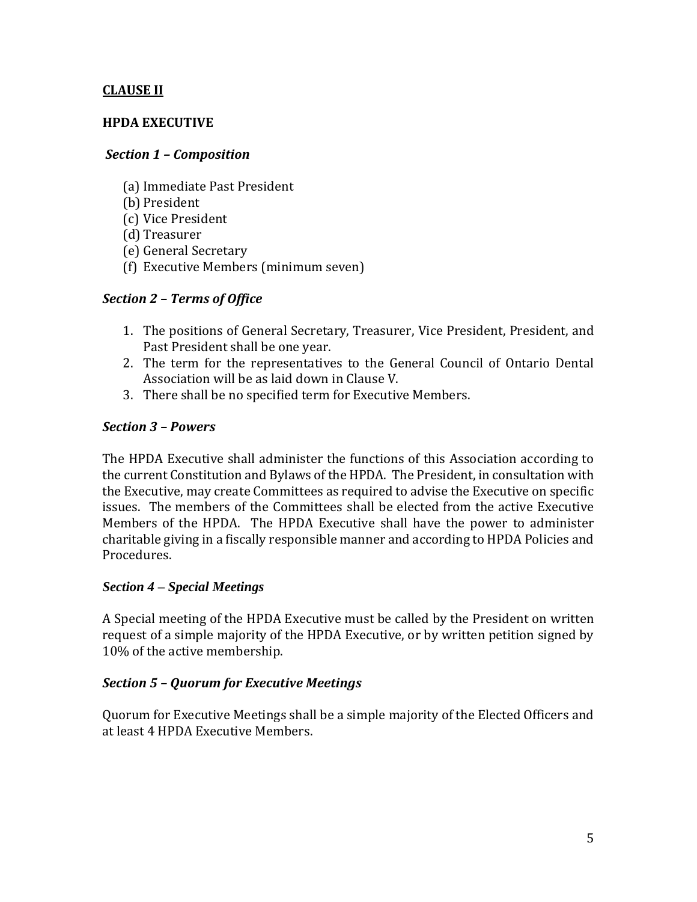## **CLAUSE II**

#### **HPDA EXECUTIVE**

#### *Section 1 – Composition*

- (a) Immediate Past President
- (b) President
- (c) Vice President
- (d) Treasurer
- (e) General Secretary
- (f) Executive Members (minimum seven)

#### *Section 2 – Terms of Office*

- 1. The positions of General Secretary, Treasurer, Vice President, President, and Past President shall be one year.
- 2. The term for the representatives to the General Council of Ontario Dental Association will be as laid down in Clause V.
- 3. There shall be no specified term for Executive Members.

#### *Section 3 – Powers*

The HPDA Executive shall administer the functions of this Association according to the current Constitution and Bylaws of the HPDA. The President, in consultation with the Executive, may create Committees as required to advise the Executive on specific issues. The members of the Committees shall be elected from the active Executive Members of the HPDA. The HPDA Executive shall have the power to administer charitable giving in a fiscally responsible manner and according to HPDA Policies and Procedures.

#### *Section 4 – Special Meetings*

A Special meeting of the HPDA Executive must be called by the President on written request of a simple majority of the HPDA Executive, or by written petition signed by 10% of the active membership.

#### *Section 5 – Quorum for Executive Meetings*

Quorum for Executive Meetings shall be a simple majority of the Elected Officers and at least 4 HPDA Executive Members.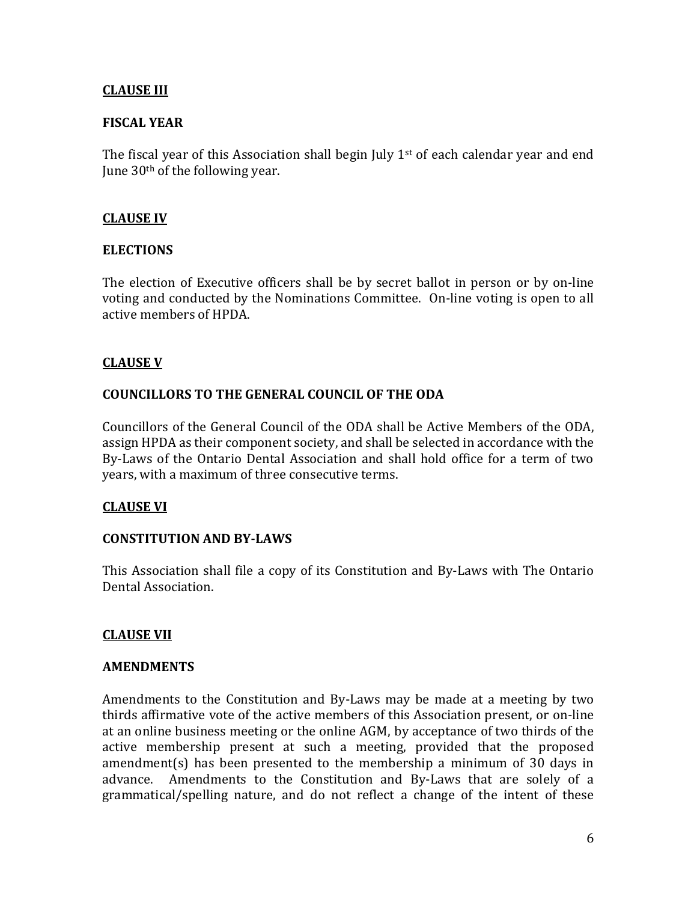## **CLAUSE III**

#### **FISCAL YEAR**

The fiscal year of this Association shall begin July  $1<sup>st</sup>$  of each calendar year and end June 30th of the following year.

#### **CLAUSE IV**

#### **ELECTIONS**

The election of Executive officers shall be by secret ballot in person or by on-line voting and conducted by the Nominations Committee. On-line voting is open to all active members of HPDA.

#### **CLAUSE V**

#### **COUNCILLORS TO THE GENERAL COUNCIL OF THE ODA**

Councillors of the General Council of the ODA shall be Active Members of the ODA, assign HPDA as their component society, and shall be selected in accordance with the By-Laws of the Ontario Dental Association and shall hold office for a term of two years, with a maximum of three consecutive terms.

#### **CLAUSE VI**

#### **CONSTITUTION AND BY-LAWS**

This Association shall file a copy of its Constitution and By-Laws with The Ontario Dental Association.

#### **CLAUSE VII**

#### **AMENDMENTS**

Amendments to the Constitution and By-Laws may be made at a meeting by two thirds affirmative vote of the active members of this Association present, or on-line at an online business meeting or the online AGM, by acceptance of two thirds of the active membership present at such a meeting, provided that the proposed amendment(s) has been presented to the membership a minimum of 30 days in advance. Amendments to the Constitution and By-Laws that are solely of a grammatical/spelling nature, and do not reflect a change of the intent of these